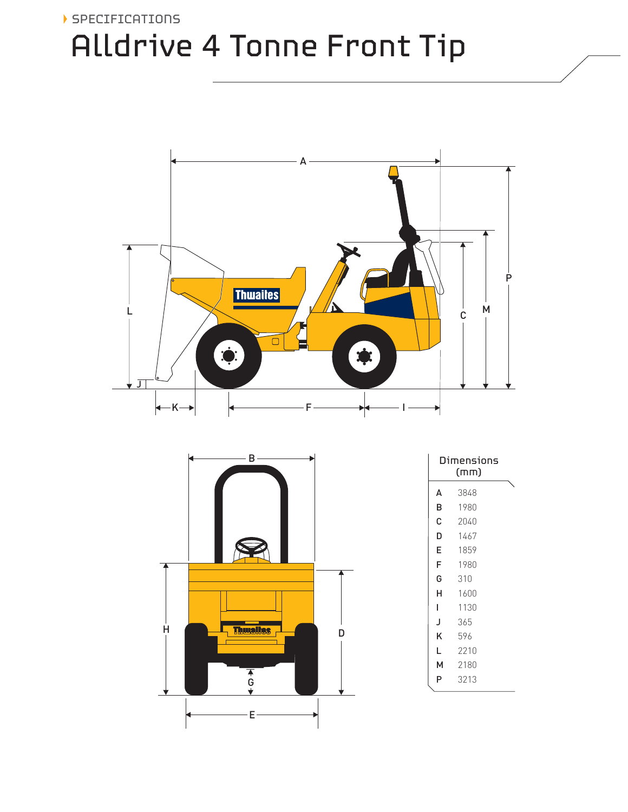## Alldrive 4 Tonne Front Tip SPECIFICATIONS



|   | В                    |   |
|---|----------------------|---|
|   |                      |   |
|   |                      |   |
|   |                      |   |
|   |                      |   |
|   |                      |   |
|   |                      |   |
|   |                      |   |
|   |                      |   |
|   |                      |   |
| Н | <b>Thusites</b>      | D |
|   |                      |   |
|   |                      |   |
|   | $\frac{1}{\sqrt{2}}$ |   |
|   |                      |   |
|   | Е                    |   |

| Dimensions<br>(mm) |      |  |  |  |
|--------------------|------|--|--|--|
| A                  | 3848 |  |  |  |
| в                  | 1980 |  |  |  |
| С                  | 2040 |  |  |  |
| D                  | 1467 |  |  |  |
| E                  | 1859 |  |  |  |
| F                  | 1980 |  |  |  |
| G                  | 310  |  |  |  |
| н                  | 1600 |  |  |  |
| L                  | 1130 |  |  |  |
| J                  | 365  |  |  |  |
| κ                  | 596  |  |  |  |
| L                  | 2210 |  |  |  |
| м                  | 2180 |  |  |  |
| P                  | 3213 |  |  |  |